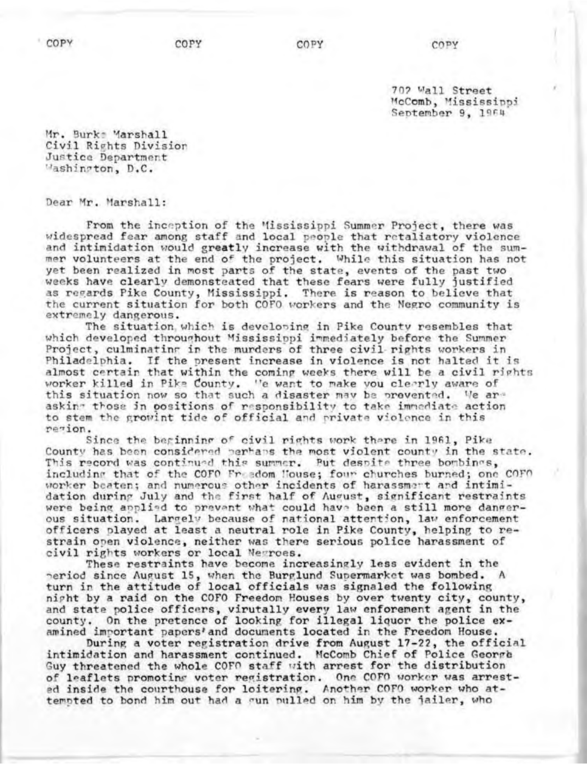**COPY** 

702 Wall Street McComb, Mississippi September 9, 1964

Mr. Burk: Marshall Civil Rights Division Justice Department Washington, D.C.

Dear Mr. Marshall:

From the inception of the Mississippi Summer Project, there was widespread fear among staff and local people that retaliatory violence and intimidation would greatly increase with the withdrawal of the summer volunteers at the end of the project. While this situation has not yet been realized in most parts of the state, events of the past two weeks have clearly demonsteated that these fears were fully justified as regards Pike County, Mississippi. There is reason to believe that the current situation for both COFO workers and the Negro community is extremely dangerous.

The situation which is developing in Pike County resembles that which developed throughout Mississippi immediately before the Summer Project, culminating in the murders of three civil rights workers in Philadelphia. If the present increase in violence is not halted it is almost certain that within the coming weeks there will be a civil rights worker killed in Pike County. "e want to make you clerrly aware of this situation now so that such a disaster may be provented. We are asking those in positions of responsibility to take immediate action to stem the growint tide of official and private violence in this remion.

Since the beginning of civil rights work there in 1961, Pike County has been considered perhaps the most violent county in the state. This record was continued this summer. Put despite three bombines, including that of the COFO Freedom House; four churches burned; one COFO worker beaten; and numerous other incidents of harassment and intimidation during July and the first half of August, significant restraints were being applied to prevent what could have been a still more dangerous situation. Largely because of national attention, law enforcement officers played at least a neutral role in Pike County, helping to restrain open violence, neither was there serious police harassment of civil rights workers or local Newroes.

These restraints have become increasingly less evident in the period since August 15, when the Burglund Supermarket was bombed. turn in the attitude of local officials was signaled the following night by a raid on the COFO Freedom Houses by over twenty city, county, and state police officers, virutally every law enforement agent in the county. On the pretence of looking for illegal liquor the police examined important papers' and documents located in the Freedom House.

During a voter registration drive from August 17-22, the official intimidation and harassment continued. McComb Chief of Police George Guy threatened the whole COFO staff with arrest for the distribution of leaflets promoting voter registration. One COFO worker was arrested inside the courthouse for loitering. Another COFO worker who attempted to bond him out had a sun pulled on him by the jailer, who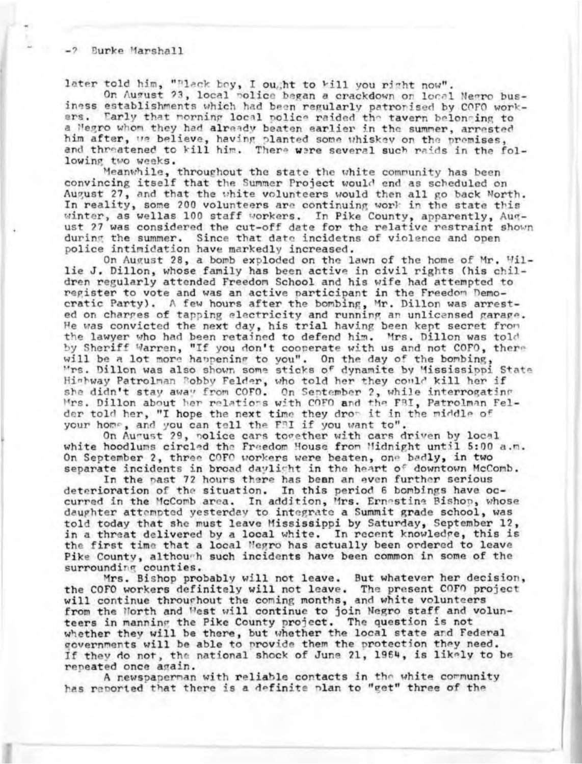later told him, "Black boy, I ought to kill you right now".

On August 23, local police began a crackdown on local Negro business establishments which had been regularly patronised by COFO work-<br>ers. Tarly that morning local police raided the tayers belonging to Early that norning local police raided the tavern belonging to a Megro whom they had already beaten earlier in the summer, arrested him after, we believe, having planted some whiskey on the premises, and threatened to kill him. There were several such raids in the following two weeks.

Meanwhile, throughout the state the white community has been convincing itself that the Summer Project would end as scheduled on August 27, and that the white volunteers would then all go back North. In reality, some 200 volunteers are continuing work in the state this winter, as wellas 100 staff workers. In Pike County, apparently, August ?7 was considered the cut-off date for the relative restraint shown during the summer. Since that date incidetns of violence and open police intimidation have markedly increased.

On August 28, a bomb exploded on the lawn of the home of Mr. Willie J. Dillon, whose family has been active in civil rights (his children regularly attended Freedom School and his wife had attempted to register to vote and was an active participant in the Freedom Democratic Party). A few hours after the bombing, Mr. Dillon was arrested on charges of tapping electricity and running an unlicensed garage. He was convicted the next day, his trial having been kept secret fror, the lawyer who had been retained to defend him. Mrs. Dillon was told by Sheriff Warren, "If you don't cooperate with us and not COFO, ther will be a lot more happening to you". On the day of the bombing "rs. Dillon was also shown some sticks of dynamite by "ississippi State Hishway Patrolman Bobby Felder, who told her they could kill her if she didn't stay away from COFO. On September 2, while interrogating Mrs. Dillon about her relations with COFO and the FBI, Patrolman Felder told her, "I hope the next time they drom it in the middle of your home, and you can tell the FRI if you want to".

On August 29, police cars together with cars driven by local white hoodlums circled the Freedom House fron Midnight until 5:00 a.m. On September 2, three COFO workers were beaten, one badly, in two separate incidents in broad daylight in the heart of downtown McComb.

In the past 72 hours there has bean an even further serious deterioration of the situation. In this period 6 bombings have occurred in the McComb area. In addition, Mrs. Ernestine Bishop, whose daughter attempted yesterday to integrate a Summit grade school, was told today that she must leave Mississippi by Saturday, September 12, in a threat delivered by a local white. In recent knowledge, this is the first time that a local Megro has actually been ordered to leave Pike County, although such incidents have been common in some of the surrounding counties.

Mrs. Bishop probably will not leave. But whatever her decision, the COFO workers definitely will not leave. The present COFO projection will continue throughout the coming months, and white voluntee from the North and West will continue to join Negro staff and volunteers in manning the Pike County project. The question is not whether they will be there, but whether the local state and Federal governments will be able to provide them the protection they need. If they do not, the national shock of June 21, 1964, is likely to be repeated once again.

A newspaperman with reliable contacts in the white community has reported that there is a definite plan to "get" three of the